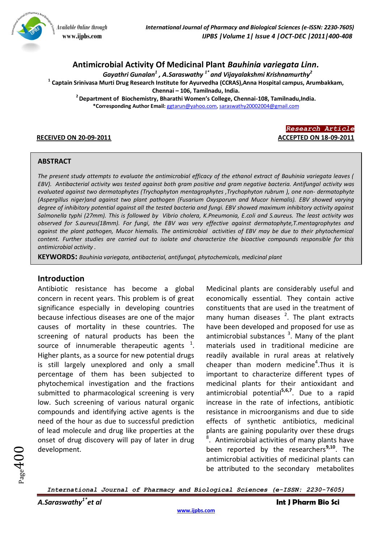

# **Antimicrobial Activity Of Medicinal Plant** *Bauhinia variegata Linn.*

*Gayathri Gunalan<sup>1</sup> , A.Saraswathy 1\* and Vijayalakshmi Krishnamurthy<sup>2</sup>*

**1 Captain Srinivasa Murti Drug Research Institute for Ayurvedha (CCRAS),Anna Hospital campus, Arumbakkam, Chennai – 106, Tamilnadu, India.** 

**<sup>2</sup>Department of Biochemistry, Bharathi Women's College, Chennai-108, Tamilnadu,India. \*Corresponding Author Email:** [ggtarun@yahoo.com,](mailto:ggtarun@yahoo.com) [saraswathy20002004@gmail.com](mailto:saraswathy20002004@gmail.com)



#### **ABSTRACT**

*The present study attempts to evaluate the antimicrobial efficacy of the ethanol extract of Bauhinia variegata leaves ( EBV). Antibacterial activity was tested against both gram positive and gram negative bacteria. Antifungal activity was evaluated against two dermatophytes (Trychophyton mentagrophytes ,Trychophyton rubrum ), one non- dermatophyte (Aspergillus niger)and against two plant pathogen (Fusarium Oxysporum and Mucor hiemalis). EBV showed varying degree of inhibitory potential against all the tested bacteria and fungi. EBV showed maximum inhibitory activity against Salmonella typhi (27mm). This is followed by Vibrio cholera, K.Pneumonia, E.coli and S.aureus. The least activity was observed for S.aureus(18mm). For fungi, the EBV was very effective against dermatophyte,T.mentagrophytes and*  against the plant pathogen, Mucor hiemalis. The antimicrobial activities of EBV may be due to their phytochemical *content. Further studies are carried out to isolate and characterize the bioactive compounds responsible for this antimicrobial activity .*

**KEYWORDS:** *Bauhinia variegata, antibacterial, antifungal, phytochemicals, medicinal plant*

## **Introduction**

Antibiotic resistance has become a global concern in recent years. This problem is of great significance especially in developing countries because infectious diseases are one of the major causes of mortality in these countries. The screening of natural products has been the source of innumerable therapeutic agents  $1$ . Higher plants, as a source for new potential drugs is still largely unexplored and only a small percentage of them has been subjected to phytochemical investigation and the fractions submitted to pharmacological screening is very low. Such screening of various natural organic compounds and identifying active agents is the need of the hour as due to successful prediction of lead molecule and drug like properties at the onset of drug discovery will pay of later in drug development.

Medicinal plants are considerably useful and economically essential. They contain active constituents that are used in the treatment of many human diseases  $2$ . The plant extracts have been developed and proposed for use as antimicrobial substances  $3$ . Many of the plant materials used in traditional medicine are readily available in rural areas at relatively cheaper than modern medicine<sup>4</sup>. Thus it is important to characterize different types of medicinal plants for their antioxidant and antimicrobial potential**5,6,7**. Due to a rapid increase in the rate of infections, antibiotic resistance in microorganisms and due to side effects of synthetic antibiotics, medicinal plants are gaining popularity over these drugs <sup>8</sup>. Antimicrobial activities of many plants have been reported by the researchers**9,10**. The antimicrobial activities of medicinal plants can be attributed to the secondary metabolites

 $_{\rm Page}400$ 

*International Journal of Pharmacy and Biological Sciences (e-ISSN: 2230-7605)*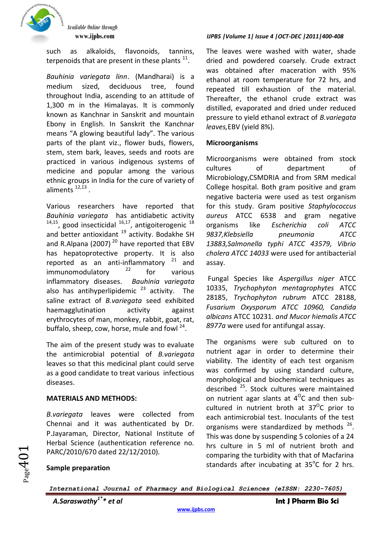

such as alkaloids, flavonoids, tannins, terpenoids that are present in these plants  $^{11}$ .

*Bauhinia variegata linn*. (Mandharai) is a medium sized, deciduous tree, found throughout India, ascending to an attitude of 1,300 m in the Himalayas. It is commonly known as Kanchnar in Sanskrit and mountain Ebony in English. In Sanskrit the Kanchnar means "A glowing beautiful lady". The various parts of the plant viz., flower buds, flowers, stem, stem bark, leaves, seeds and roots are practiced in various indigenous systems of medicine and popular among the various ethnic groups in India for the cure of variety of aliments  $^{12,13}$ .

Various researchers have reported that *Bauhinia variegata* has antidiabetic activity  $14,15$ , good insecticidal  $16,17$ , antigoiterogenic  $18$ and better antioxidant  $19$  activity. Bodakhe SH and R.Alpana (2007)<sup>20</sup> have reported that EBV has hepatoprotective property. It is also<br>reported as an anti-inflammatory  $^{21}$  and reported as an anti-inflammatory  $21$  and  $immunomodulatorv$   $22$  for various inflammatory diseases. *Bauhinia variegata* also has antihyperlipidemic  $23$  activity. The saline extract of *B.variegata* seed exhibited haemagglutination activity against erythrocytes of man, monkey, rabbit, goat, rat, buffalo, sheep, cow, horse, mule and fowl <sup>24</sup>.

The aim of the present study was to evaluate the antimicrobial potential of *B.variegata* leaves so that this medicinal plant could serve as a good candidate to treat various infectious diseases.

# **MATERIALS AND METHODS:**

*B.variegata* leaves were collected from Chennai and it was authenticated by Dr. P.Jayaraman, Director, National Institute of Herbal Science (authentication reference no. PARC/2010/670 dated 22/12/2010).

# **www.ijpbs.com** *IJPBS |Volume 1| Issue 4 |OCT-DEC |2011|400-408*

The leaves were washed with water, shade dried and powdered coarsely. Crude extract was obtained after maceration with 95% ethanol at room temperature for 72 hrs, and repeated till exhaustion of the material. Thereafter, the ethanol crude extract was distilled, evaporated and dried under reduced pressure to yield ethanol extract of *B.variegata leaves,*EBV (yield 8%).

# **Microorganisms**

Microorganisms were obtained from stock cultures of department of Microbiology,CSMDRIA and from SRM medical College hospital. Both gram positive and gram negative bacteria were used as test organism for this study. Gram positive *Staphylococcus aureus* ATCC 6538 and gram negative organisms like *Escherichia coli ATCC 9837,Klebsiella pneumonia ATCC 13883,Salmonella typhi ATCC 43579, Vibrio cholera ATCC 14033* were used for antibacterial assay.

Fungal Species like *Aspergillus niger* ATCC 10335, *Trychophyton mentagrophytes* ATCC 28185, *Trychophyton rubrum* ATCC 28188, *Fusarium Oxysporum ATCC 10960, Candida albicans* ATCC 10231. *and Mucor hiemalis ATCC 8977a* were used for antifungal assay*.*

The organisms were sub cultured on to nutrient agar in order to determine their viability. The identity of each test organism was confirmed by using standard culture, morphological and biochemical techniques as described<sup>25</sup>. Stock cultures were maintained on nutrient agar slants at  $4^{\circ}$ C and then subcultured in nutrient broth at  $37^{\circ}$ C prior to each antimicrobial test. Inoculants of the test organisms were standardized by methods <sup>26</sup>. This was done by suspending 5 colonies of a 24 hrs culture in 5 ml of nutrient broth and comparing the turbidity with that of Macfarina standards after incubating at  $35^{\circ}$ C for 2 hrs.

 $P_{\rm age}$ 4 $0$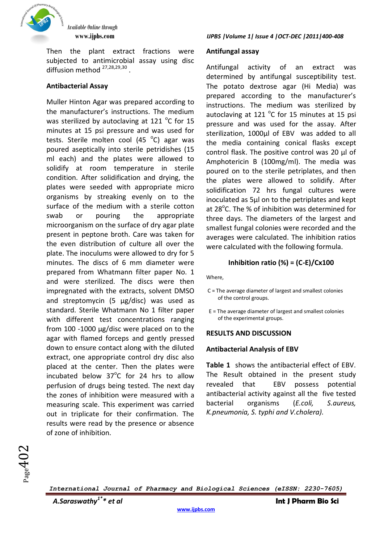

Then the plant extract fractions were subjected to antimicrobial assay using disc diffusion method <sup>27,28,29,30</sup>.

# **Antibacterial Assay**

Muller Hinton Agar was prepared according to the manufacturer's instructions. The medium was sterilized by autoclaving at 121  $^{\circ}$ C for 15 minutes at 15 psi pressure and was used for tests. Sterile molten cool (45 °C) agar was poured aseptically into sterile petridishes (15 ml each) and the plates were allowed to solidify at room temperature in sterile condition. After solidification and drying, the plates were seeded with appropriate micro organisms by streaking evenly on to the surface of the medium with a sterile cotton swab or pouring the appropriate microorganism on the surface of dry agar plate present in peptone broth. Care was taken for the even distribution of culture all over the plate. The inoculums were allowed to dry for 5 minutes. The discs of 6 mm diameter were prepared from Whatmann filter paper No. 1 and were sterilized. The discs were then impregnated with the extracts, solvent DMSO and streptomycin (5 μg/disc) was used as standard. Sterile Whatmann No 1 filter paper with different test concentrations ranging from 100 -1000 μg/disc were placed on to the agar with flamed forceps and gently pressed down to ensure contact along with the diluted extract, one appropriate control dry disc also placed at the center. Then the plates were incubated below  $37^{\circ}$ C for 24 hrs to allow perfusion of drugs being tested. The next day the zones of inhibition were measured with a measuring scale. This experiment was carried out in triplicate for their confirmation. The results were read by the presence or absence of zone of inhibition.

#### **Antifungal assay**

Antifungal activity of an extract was determined by antifungal susceptibility test. The potato dextrose agar (Hi Media) was prepared according to the manufacturer's instructions. The medium was sterilized by autoclaving at 121  $^{\circ}$ C for 15 minutes at 15 psi pressure and was used for the assay. After sterilization, 1000ul of EBV was added to all the media containing conical flasks except control flask. The positive control was 20 µl of Amphotericin B (100mg/ml). The media was poured on to the sterile petriplates, and then the plates were allowed to solidify. After solidification 72 hrs fungal cultures were inoculated as 5µl on to the petriplates and kept at 28<sup>°</sup>C. The % of inhibition was determined for three days. The diameters of the largest and smallest fungal colonies were recorded and the averages were calculated. The inhibition ratios were calculated with the following formula.

## **Inhibition ratio (%) = (C-E)/Cx100**

Where,

- C = The average diameter of largest and smallest colonies of the control groups.
- E = The average diameter of largest and smallest colonies of the experimental groups.

#### **RESULTS AND DISCUSSION**

#### **Antibacterial Analysis of EBV**

**Table 1** shows the antibacterial effect of EBV. The Result obtained in the present study revealed that EBV possess potential antibacterial activity against all the five tested bacterial organisms (*E.coli, S.aureus, K.pneumonia, S. typhi and V.cholera).*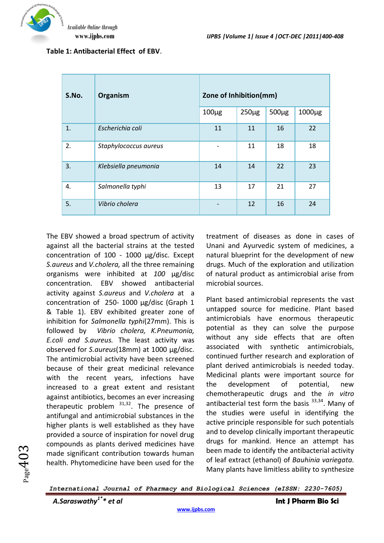| S.No. | Organism              | Zone of Inhibition(mm) |           |           |             |
|-------|-----------------------|------------------------|-----------|-----------|-------------|
|       |                       | $100\mug$              | $250\mug$ | $500\mug$ | $1000\mu g$ |
| 1.    | Escherichia coli      | 11                     | 11        | 16        | 22          |
| 2.    | Staphylococcus aureus |                        | 11        | 18        | 18          |
| 3.    | Klebsiella pneumonia  | 14                     | 14        | 22        | 23          |
| 4.    | Salmonella typhi      | 13                     | 17        | 21        | 27          |
| 5.    | Vibrio cholera        |                        | 12        | 16        | 24          |

**Table 1: Antibacterial Effect of EBV**.

The EBV showed a broad spectrum of activity against all the bacterial strains at the tested concentration of 100 - 1000 μg/disc. Except *S.aureus* and *V.cholera,* all the three remaining organisms were inhibited at *100* μg/disc concentration. EBV showed antibacterial activity against *S.aureus* and *V.cholera* at a concentration of 250- 1000 μg/disc (Graph 1 & Table 1). EBV exhibited greater zone of inhibition for *Salmonella typhi*(27mm). This is followed by *Vibrio cholera, K.Pneumonia, E.coli and S.aureus.* The least activity was observed for *S.aureus*(18mm) at 1000 μg/disc. The antimicrobial activity have been screened because of their great medicinal relevance with the recent years, infections have increased to a great extent and resistant against antibiotics, becomes an ever increasing therapeutic problem  $31,32$ . The presence of antifungal and antimicrobial substances in the higher plants is well established as they have provided a source of inspiration for novel drug compounds as plants derived medicines have made significant contribution towards human health. Phytomedicine have been used for the

treatment of diseases as done in cases of Unani and Ayurvedic system of medicines, a natural blueprint for the development of new drugs. Much of the exploration and utilization of natural product as antimicrobial arise from microbial sources.

Plant based antimicrobial represents the vast untapped source for medicine. Plant based antimicrobials have enormous therapeutic potential as they can solve the purpose without any side effects that are often associated with synthetic antimicrobials, continued further research and exploration of plant derived antimicrobials is needed today. Medicinal plants were important source for the development of potential, new chemotherapeutic drugs and the *in vitro* antibacterial test form the basis  $33,34$ . Many of the studies were useful in identifying the active principle responsible for such potentials and to develop clinically important therapeutic drugs for mankind. Hence an attempt has been made to identify the antibacterial activity of leaf extract (ethanol) of *Bauhinia variegata.*  Many plants have limitless ability to synthesize

*International Journal of Pharmacy and Biological Sciences (eISSN: 2230-7605)*

 $Page403$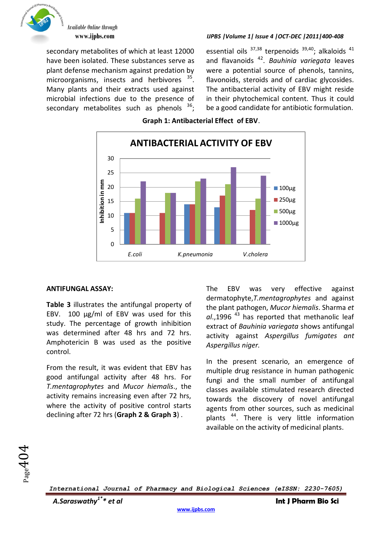

secondary metabolites of which at least 12000 have been isolated. These substances serve as plant defense mechanism against predation by microorganisms, insects and herbivores <sup>35</sup>. Many plants and their extracts used against microbial infections due to the presence of secondary metabolites such as phenols  $36$ ;

### **www.ijpbs.com** *IJPBS |Volume 1| Issue 4 |OCT-DEC |2011|400-408*

essential oils  $37,38$  terpenoids  $39,40$ ; alkaloids  $41$ and flavanoids <sup>42</sup> . *Bauhinia variegata* leaves were a potential source of phenols, tannins, flavonoids, steroids and of cardiac glycosides. The antibacterial activity of EBV might reside in their phytochemical content. Thus it could be a good candidate for antibiotic formulation.





## **ANTIFUNGAL ASSAY:**

**Table 3** illustrates the antifungal property of EBV. 100 µg/ml of EBV was used for this study. The percentage of growth inhibition was determined after 48 hrs and 72 hrs. Amphotericin B was used as the positive control.

From the result, it was evident that EBV has good antifungal activity after 48 hrs. For *T.mentagrophytes* and *Mucor hiemalis*., the activity remains increasing even after 72 hrs, where the activity of positive control starts declining after 72 hrs (**Graph 2 & Graph 3**) .

The EBV was very effective against dermatophyte,*T.mentagrophytes* and against the plant pathogen, *Mucor hiemalis*. Sharma *et al*.,1996 <sup>43</sup> has reported that methanolic leaf extract of *Bauhinia variegata* shows antifungal activity against *Aspergillus fumigates ant Aspergillus niger.*

In the present scenario, an emergence of multiple drug resistance in human pathogenic fungi and the small number of antifungal classes available stimulated research directed towards the discovery of novel antifungal agents from other sources, such as medicinal plants<sup>44</sup>. There is very little information available on the activity of medicinal plants.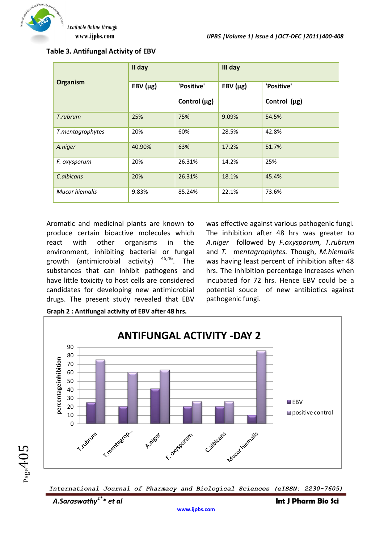

**Table 3. Antifungal Activity of EBV**

|                  | II day        |                   | III day       |                   |  |
|------------------|---------------|-------------------|---------------|-------------------|--|
| Organism         | EBV $(\mu g)$ | 'Positive'        | EBV $(\mu g)$ | 'Positive'        |  |
|                  |               | Control $(\mu g)$ |               | Control $(\mu g)$ |  |
| T.rubrum         | 25%           | 75%               | 9.09%         | 54.5%             |  |
| T.mentagrophytes | 20%           | 60%               | 28.5%         | 42.8%             |  |
| A.niger          | 40.90%        | 63%               | 17.2%         | 51.7%             |  |
| F. oxysporum     | 20%           | 26.31%            | 14.2%         | 25%               |  |
| C.albicans       | 20%           | 26.31%            | 18.1%         | 45.4%             |  |
| Mucor hiemalis   | 9.83%         | 85.24%            | 22.1%         | 73.6%             |  |

Aromatic and medicinal plants are known to produce certain bioactive molecules which react with other organisms in the environment, inhibiting bacterial or fungal growth (antimicrobial activity) 45,46. The substances that can inhibit pathogens and have little toxicity to host cells are considered candidates for developing new antimicrobial drugs. The present study revealed that EBV

was effective against various pathogenic fungi. The inhibition after 48 hrs was greater to *A.niger* followed by *F.oxysporum, T.rubrum* and *T.* m*entagrophytes.* Though, *M.hiemalis* was having least percent of inhibition after 48 hrs. The inhibition percentage increases when incubated for 72 hrs. Hence EBV could be a potential souce of new antibiotics against pathogenic fungi.



*International Journal of Pharmacy and Biological Sciences (eISSN: 2230-7605)*

 $Page405$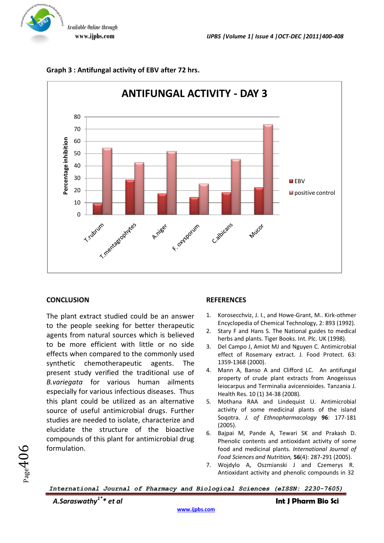Of Pharmacy



**Graph 3 : Antifungal activity of EBV after 72 hrs.**

# **CONCLUSION**

The plant extract studied could be an answer to the people seeking for better therapeutic agents from natural sources which is believed to be more efficient with little or no side effects when compared to the commonly used synthetic chemotherapeutic agents. The present study verified the traditional use of *B.variegata* for various human ailments especially for various infectious diseases. Thus this plant could be utilized as an alternative source of useful antimicrobial drugs. Further studies are needed to isolate, characterize and elucidate the structure of the bioactive compounds of this plant for antimicrobial drug formulation.

### **REFERENCES**

- 1. Korosecchviz, J. I., and Howe-Grant, M.. Kirk-othmer Encyclopedia of Chemical Technology, 2: 893 (1992).
- 2. Stary F and Hans S. The National guides to medical herbs and plants. Tiger Books. Int. Plc. UK (1998).
- 3. Del Campo J, Amiot MJ and Nguyen C. Antimicrobial effect of Rosemary extract. J. Food Protect. 63: 1359-1368 (2000).
- 4. Mann A, Banso A and Clifford LC. An antifungal property of crude plant extracts from Anogeissus leiocarpus and Terminalia avicennioides. Tanzania J. Health Res. 10 (1) 34-38 (2008).
- 5. Mothana RAA and Lindequist U. Antimicrobial activity of some medicinal plants of the island Soqotra. *J. of Ethnopharmacology* **96**: 177-181 (2005).
- 6. Bajpai M, Pande A, Tewari SK and Prakash D. Phenolic contents and antioxidant activity of some food and medicinal plants. *International Journal of Food Sciences and Nutrition,* **56**(4): 287-291 (2005).
- 7. Wojdylo A, Oszmianski J and Czemerys R. Antioxidant activity and phenolic compounds in 32

*International Journal of Pharmacy and Biological Sciences (eISSN: 2230-7605)*

 $Page406$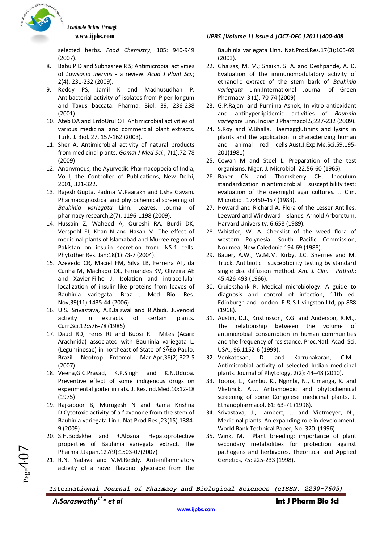

selected herbs. *Food Chemistry*, 105: 940-949 (2007).

- 8. Babu P D and Subhasree R S; Antimicrobial activities of *Lawsonia inermis* - a review. *Acad J Plant Sci.*; 2(4): 231-232 (2009).
- 9. Reddy PS, Jamil K and Madhusudhan P. Antibacterial activity of isolates from Piper longum and Taxus baccata. Pharma. Biol. 39, 236-238 (2001).
- 10. Ateb DA and ErdoUrul OT Antimicrobial activities of various medicinal and commercial plant extracts. Turk. J. Biol. 27, 157-162 (2003).
- 11. Sher A; Antimicrobial activity of natural products from medicinal plants. *Gomal J Med Sci.*; 7(1):72-78 (2009)
- 12. Anonymous, the Ayurvedic Pharmacopoeia of India, Vol-I, the Controller of Publications, New Delhi, 2001, 321-322.
- 13. Rajesh Gupta, Padma M.Paarakh and Usha Gavani. Pharmacognostical and phytochemical screening of *Bauhinia variegata* Linn. Leaves. Journal of pharmacy research,2(7), 1196-1198 (2009).
- 14. Hussain Z, Waheed A, Qureshi RA, Burdi DK, Verspohl EJ, Khan N and Hasan M. The effect of medicinal plants of Islamabad and Murree region of Pakistan on insulin secretion from INS-1 cells. Phytother Res. Jan;18(1):73-7 (2004).
- 15. Azevedo CR, Maciel FM, Silva LB, Ferreira AT, da Cunha M, Machado OL, Fernandes KV, Oliveira AE and Xavier-Filho J. Isolation and intracellular localization of insulin-like proteins from leaves of Bauhinia variegata. Braz J Med Biol Res. Nov;39(11):1435-44 (2006).
- 16. U.S. Srivastava, A.K.Jaiswal and R.Abidi. Juvenoid activity in extracts of certain plants. Curr.Sci.12:576-78 (1985)
- 17. Daud RD, Feres RJ and Buosi R. Mites (Acari: Arachnida) associated with Bauhinia variegata L. (Leguminosae) in northeast of State of São Paulo, Brazil. Neotrop Entomol. Mar-Apr;36(2):322-5 (2007).
- 18. Veena,G.C.Prasad, K.P.Singh and K.N.Udupa. Preventive effect of some indigenous drugs on experimental goiter in rats. J. Res.Ind.Med.10:12-18 (1975)
- 19. Rajkapoor B, Murugesh N and Rama Krishna D.Cytotoxic activity of a flavanone from the stem of Bauhinia variegata Linn. Nat Prod Res.;23(15):1384- 9 (2009).
- 20. S.H.Bodakhe and R.Alpana. Hepatoprotective properties of Bauhinia variegata extract. The Pharma J.Japan.127(9):1503-07(2007)
- 21. R.N. Yadava and V.M.Reddy. Anti-inflammatory activity of a novel flavonol glycoside from the

#### **www.ijpbs.com** *IJPBS |Volume 1| Issue 4 |OCT-DEC |2011|400-408*

Bauhinia variegata Linn. Nat.Prod.Res.17(3);165-69 (2003).

- 22. Ghaisas, M. M.; Shaikh, S. A. and Deshpande, A. D. Evaluation of the immunomodulatory activity of ethanolic extract of the stem bark of *Bauhinia variegata* Linn.International Journal of Green Pharmacy .3 (1): 70-74 (2009)
- 23. G.P.Rajani and Purnima Ashok, In vitro antioxidant and antihyperlipidemic activities of *Bauhnia variegate* Linn, Indian J Pharmacol,5;227-232 (2009).
- 24. S.Roy and V.Bhalla. Haemagglutinins and lysins in plants and the application in characterizing human and animal red cells.Aust.J.Exp.Me.Sci.59:195- 201(1981)
- 25. Cowan M and Steel L. Preparation of the test organisms. Niger. J. Microbiol. 22:56-60 (1965).
- 26. Baker CN and Thomsberry CH. Inoculum standardization in antimicrobial susceptibility test: evaluation of the overnight agar cultures*.* J. Clin. Microbiol. 17:450-457 (1983).
- 27. Howard and Richard A. Flora of the Lesser Antilles: Leeward and Windward Islands. Arnold Arboretum, Harvard University. 6:658 (1989).
- 28. Whistler, W. A. Checklist of the weed flora of western Polynesia. South Pacific Commission, Noumea, New Caledonia 194:69 (1988).
- 29. Bauer, A.W., W.M.M. Kirby, J.C. Sherries and M. Truck. Antibiotic susceptibility testing by standard single disc diffusion method. *Am. J. Clin. Pathol*.; 45:426-493 (1966).
- 30. Cruickshank R. Medical microbiology: A guide to diagnosis and control of infection, 11th ed. Edinburgh and London: E & S Livingston Ltd, pp 888 (1968).
- 31. Austin, D.J., Kristinsson, K.G. and Anderson, R.M.,. The relationship between the volume of antimicrobial consumption in human communities and the frequency of resistance. Proc.Natl. Acad. Sci. USA., 96:1152-6 (1999).
- 32. Venkatesan, D. and Karrunakaran, C.M... Antimicrobial activity of selected Indian medicinal plants. Journal of Phytology, 2(2): 44–48 (2010).
- 33. Toona, L., Kambu, K., Ngimbi, N., Cimanga, K. and Vlietinck, A.J.. Antiamoebic and phytochemical screening of some Congolese medicinal plants. J. Ethanopharmacol, 61: 63-71 (1998).
- 34. Srivastava, J., Lambert, J. and Vietmeyer, N.,. Medicinal plants: An expanding role in development. World Bank Technical Paper, No. 320. (1996).
- 35. Wink, M. Plant breeding: importance of plant secondary metabolities for protection against pathogens and herbivores. Theoritical and Applied Genetics, 75: 225-233 (1998).



*International Journal of Pharmacy and Biological Sciences (eISSN: 2230-7605)*